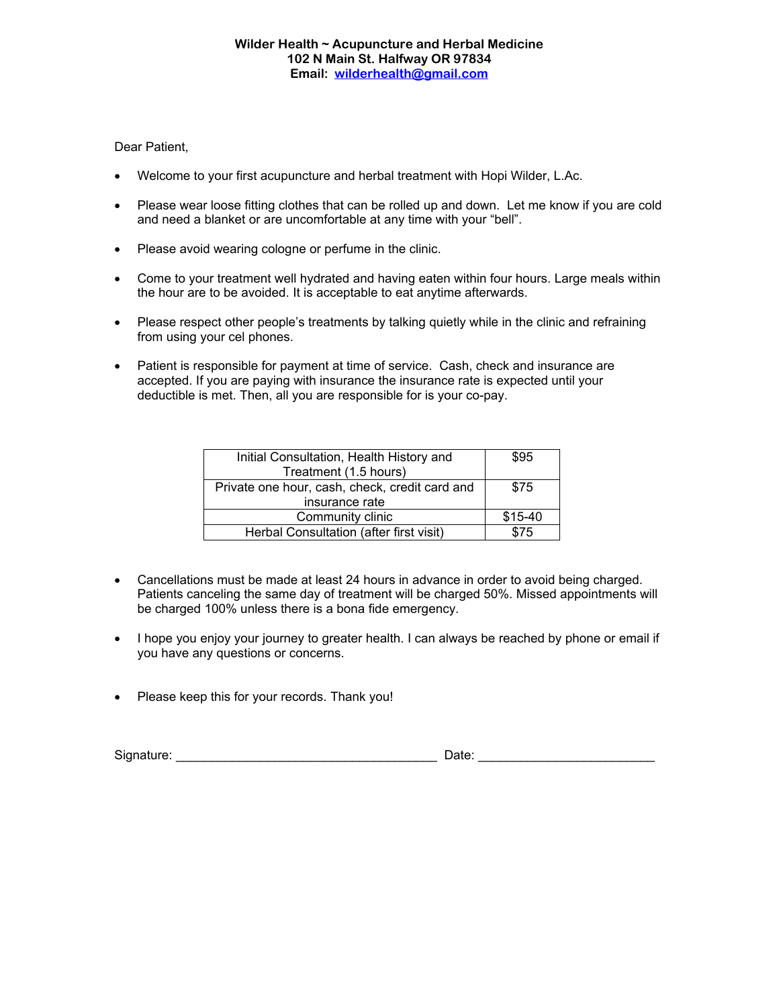## Dear Patient,

- Welcome to your first acupuncture and herbal treatment with Hopi Wilder, L.Ac.
- Please wear loose fitting clothes that can be rolled up and down. Let me know if you are cold and need a blanket or are uncomfortable at any time with your "bell".
- Please avoid wearing cologne or perfume in the clinic.
- Come to your treatment well hydrated and having eaten within four hours. Large meals within the hour are to be avoided. It is acceptable to eat anytime afterwards.
- Please respect other people's treatments by talking quietly while in the clinic and refraining from using your cel phones.
- Patient is responsible for payment at time of service. Cash, check and insurance are accepted. If you are paying with insurance the insurance rate is expected until your deductible is met. Then, all you are responsible for is your co-pay.

| Initial Consultation, Health History and       | \$95    |
|------------------------------------------------|---------|
| Treatment (1.5 hours)                          |         |
| Private one hour, cash, check, credit card and | \$75    |
| insurance rate                                 |         |
| Community clinic                               | \$15-40 |
| Herbal Consultation (after first visit)        | \$75    |

- Cancellations must be made at least 24 hours in advance in order to avoid being charged. Patients canceling the same day of treatment will be charged 50%. Missed appointments will be charged 100% unless there is a bona fide emergency.
- I hope you enjoy your journey to greater health. I can always be reached by phone or email if you have any questions or concerns.
- Please keep this for your records. Thank you!

| Sign<br>. |  |  |
|-----------|--|--|
|-----------|--|--|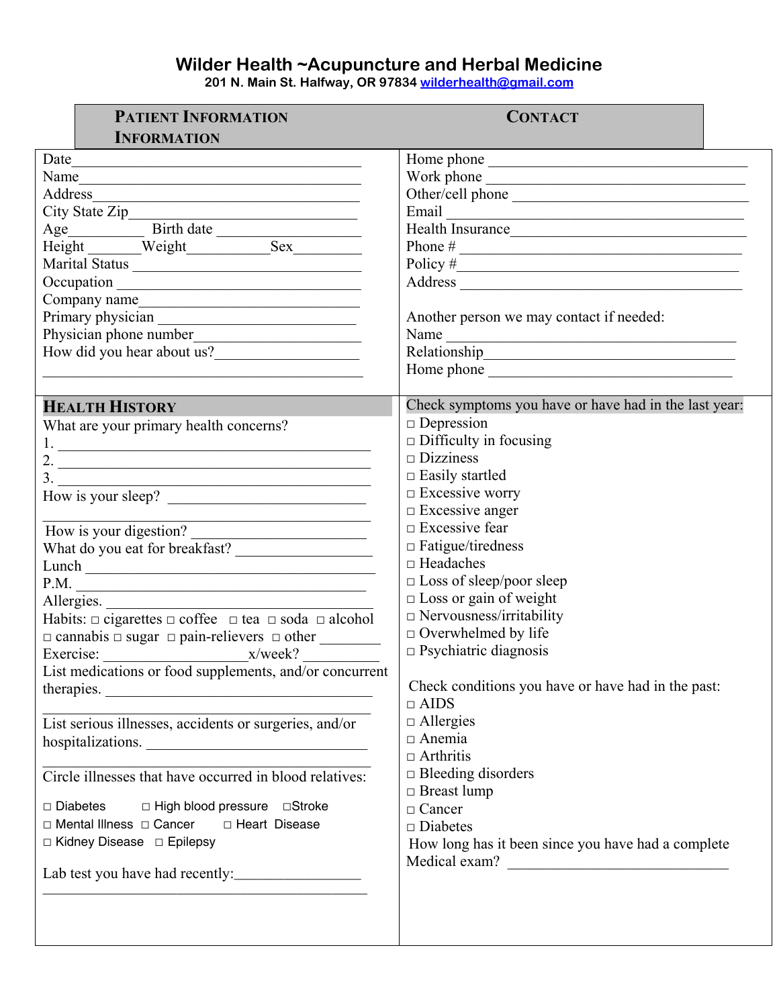## **Wilder Health ~Acupuncture and Herbal Medicine**

**201 N. Main St. Halfway, OR 97834 [wilderhealth@gmail.com](mailto:wilderhealth@gmail.com)**

| <b>PATIENT INFORMATION</b><br><b>INFORMATION</b>                                                                              | <b>CONTACT</b>                                        |
|-------------------------------------------------------------------------------------------------------------------------------|-------------------------------------------------------|
| Date                                                                                                                          |                                                       |
| <u> 1989 - Johann Barn, mars ann an t-Amhain an t-Amhain an t-Amhain an t-Amhain an t-Amhain an t-Amhain an t-Amh</u><br>Name |                                                       |
| <u> 1989 - Johann Harry Communication (b. 1989)</u>                                                                           |                                                       |
| Address                                                                                                                       | Other/cell phone                                      |
| City State Zip<br>Age Birth date                                                                                              |                                                       |
| Height Weight Sex                                                                                                             | Health Insurance                                      |
|                                                                                                                               |                                                       |
| Marital Status                                                                                                                | Policy $\#$                                           |
|                                                                                                                               |                                                       |
| Company name                                                                                                                  | Another person we may contact if needed:              |
|                                                                                                                               |                                                       |
| How did you hear about us?                                                                                                    | Name                                                  |
|                                                                                                                               |                                                       |
|                                                                                                                               |                                                       |
| <b>HEALTH HISTORY</b>                                                                                                         | Check symptoms you have or have had in the last year: |
| What are your primary health concerns?                                                                                        | $\Box$ Depression                                     |
|                                                                                                                               | $\Box$ Difficulty in focusing                         |
| 2. $\overline{\phantom{a}}$                                                                                                   | $\square$ Dizziness                                   |
|                                                                                                                               | $\Box$ Easily startled                                |
| How is your sleep?                                                                                                            | $\Box$ Excessive worry                                |
|                                                                                                                               | $\Box$ Excessive anger                                |
| How is your digestion?                                                                                                        | $\Box$ Excessive fear                                 |
| What do you eat for breakfast?                                                                                                | $\Box$ Fatigue/tiredness                              |
|                                                                                                                               | $\Box$ Headaches                                      |
| P.M.                                                                                                                          | □ Loss of sleep/poor sleep                            |
|                                                                                                                               | $\Box$ Loss or gain of weight                         |
| Allergies.<br>Habits: $\Box$ cigarettes $\Box$ coffee $\Box$ tea $\Box$ soda $\Box$ alcohol                                   | $\Box$ Nervousness/irritability                       |
|                                                                                                                               | $\Box$ Overwhelmed by life                            |
| Exercise: x/week?                                                                                                             | $\Box$ Psychiatric diagnosis                          |
| List medications or food supplements, and/or concurrent                                                                       |                                                       |
| therapies.                                                                                                                    | Check conditions you have or have had in the past:    |
|                                                                                                                               | $\Box$ AIDS                                           |
| List serious illnesses, accidents or surgeries, and/or                                                                        | $\Box$ Allergies                                      |
| hospitalizations.                                                                                                             | $\Box$ Anemia                                         |
|                                                                                                                               | $\Box$ Arthritis                                      |
| Circle illnesses that have occurred in blood relatives:                                                                       | $\Box$ Bleeding disorders                             |
|                                                                                                                               | $\Box$ Breast lump                                    |
| $\Box$ Diabetes<br>□ High blood pressure □ Stroke                                                                             | $\Box$ Cancer                                         |
| □ Mental Illness □ Cancer<br>□ Heart Disease                                                                                  | $\Box$ Diabetes                                       |
| □ Kidney Disease □ Epilepsy                                                                                                   | How long has it been since you have had a complete    |
|                                                                                                                               | Medical exam?                                         |
|                                                                                                                               |                                                       |
|                                                                                                                               |                                                       |
|                                                                                                                               |                                                       |
|                                                                                                                               |                                                       |